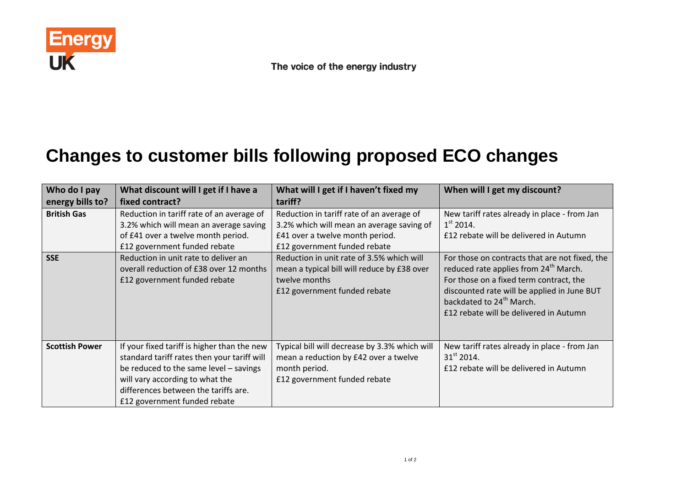

## **Changes to customer bills following proposed ECO changes**

| Who do I pay          | What discount will I get if I have a                                                                                                                                                                                                            | What will I get if I haven't fixed my                                                                                                     | When will I get my discount?                                                                                                                                                                                                                                                    |
|-----------------------|-------------------------------------------------------------------------------------------------------------------------------------------------------------------------------------------------------------------------------------------------|-------------------------------------------------------------------------------------------------------------------------------------------|---------------------------------------------------------------------------------------------------------------------------------------------------------------------------------------------------------------------------------------------------------------------------------|
| energy bills to?      | fixed contract?                                                                                                                                                                                                                                 | tariff?                                                                                                                                   |                                                                                                                                                                                                                                                                                 |
| <b>British Gas</b>    | Reduction in tariff rate of an average of<br>3.2% which will mean an average saving                                                                                                                                                             | Reduction in tariff rate of an average of<br>3.2% which will mean an average saving of                                                    | New tariff rates already in place - from Jan<br>$1st$ 2014.                                                                                                                                                                                                                     |
|                       | of £41 over a twelve month period.<br>£12 government funded rebate                                                                                                                                                                              | £41 over a twelve month period.<br>£12 government funded rebate                                                                           | £12 rebate will be delivered in Autumn                                                                                                                                                                                                                                          |
| <b>SSE</b>            | Reduction in unit rate to deliver an<br>overall reduction of £38 over 12 months<br>£12 government funded rebate                                                                                                                                 | Reduction in unit rate of 3.5% which will<br>mean a typical bill will reduce by £38 over<br>twelve months<br>£12 government funded rebate | For those on contracts that are not fixed, the<br>reduced rate applies from 24 <sup>th</sup> March.<br>For those on a fixed term contract, the<br>discounted rate will be applied in June BUT<br>backdated to 24 <sup>th</sup> March.<br>£12 rebate will be delivered in Autumn |
| <b>Scottish Power</b> | If your fixed tariff is higher than the new<br>standard tariff rates then your tariff will<br>be reduced to the same level - savings<br>will vary according to what the<br>differences between the tariffs are.<br>£12 government funded rebate | Typical bill will decrease by 3.3% which will<br>mean a reduction by £42 over a twelve<br>month period.<br>£12 government funded rebate   | New tariff rates already in place - from Jan<br>$31^{\text{st}}$ 2014.<br>£12 rebate will be delivered in Autumn                                                                                                                                                                |